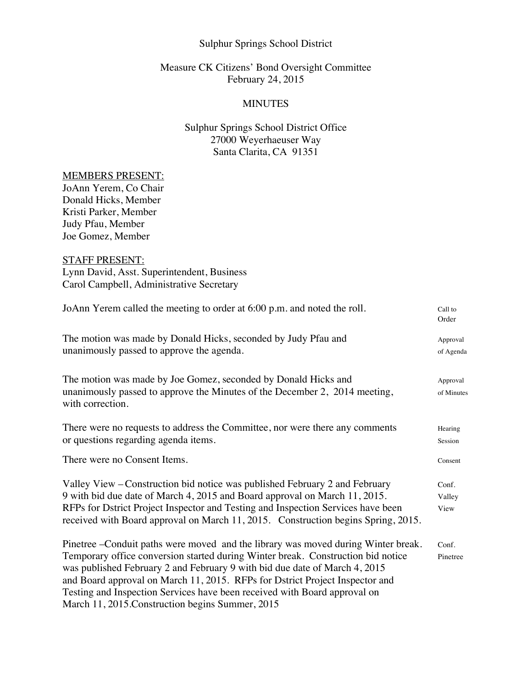#### Sulphur Springs School District

# Measure CK Citizens' Bond Oversight Committee February 24, 2015

#### MINUTES

# Sulphur Springs School District Office 27000 Weyerhaeuser Way Santa Clarita, CA 91351

#### MEMBERS PRESENT:

JoAnn Yerem, Co Chair Donald Hicks, Member Kristi Parker, Member Judy Pfau, Member Joe Gomez, Member

### STAFF PRESENT:

Lynn David, Asst. Superintendent, Business Carol Campbell, Administrative Secretary

| JoAnn Yerem called the meeting to order at 6:00 p.m. and noted the roll.                                                                                                                                                                                                                                                                                                                                                                                              | Call to<br>Order        |
|-----------------------------------------------------------------------------------------------------------------------------------------------------------------------------------------------------------------------------------------------------------------------------------------------------------------------------------------------------------------------------------------------------------------------------------------------------------------------|-------------------------|
| The motion was made by Donald Hicks, seconded by Judy Pfau and<br>unanimously passed to approve the agenda.                                                                                                                                                                                                                                                                                                                                                           | Approval<br>of Agenda   |
| The motion was made by Joe Gomez, seconded by Donald Hicks and<br>unanimously passed to approve the Minutes of the December 2, 2014 meeting,<br>with correction.                                                                                                                                                                                                                                                                                                      | Approval<br>of Minutes  |
| There were no requests to address the Committee, nor were there any comments<br>or questions regarding agenda items.                                                                                                                                                                                                                                                                                                                                                  | Hearing<br>Session      |
| There were no Consent Items.                                                                                                                                                                                                                                                                                                                                                                                                                                          | Consent                 |
| Valley View – Construction bid notice was published February 2 and February<br>9 with bid due date of March 4, 2015 and Board approval on March 11, 2015.<br>RFPs for Dstrict Project Inspector and Testing and Inspection Services have been<br>received with Board approval on March 11, 2015. Construction begins Spring, 2015.                                                                                                                                    | Conf.<br>Valley<br>View |
| Pinetree - Conduit paths were moved and the library was moved during Winter break.<br>Temporary office conversion started during Winter break. Construction bid notice<br>was published February 2 and February 9 with bid due date of March 4, 2015<br>and Board approval on March 11, 2015. RFPs for Dstrict Project Inspector and<br>Testing and Inspection Services have been received with Board approval on<br>March 11, 2015. Construction begins Summer, 2015 | Conf.<br>Pinetree       |